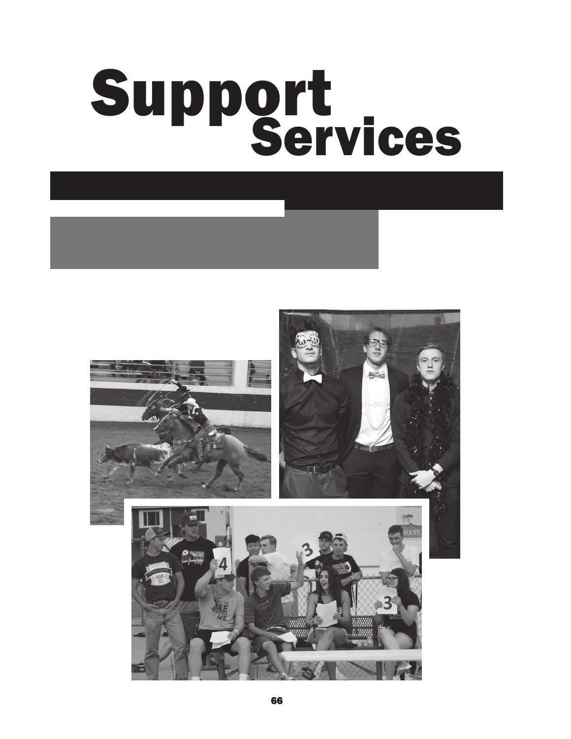# Support<br>Services

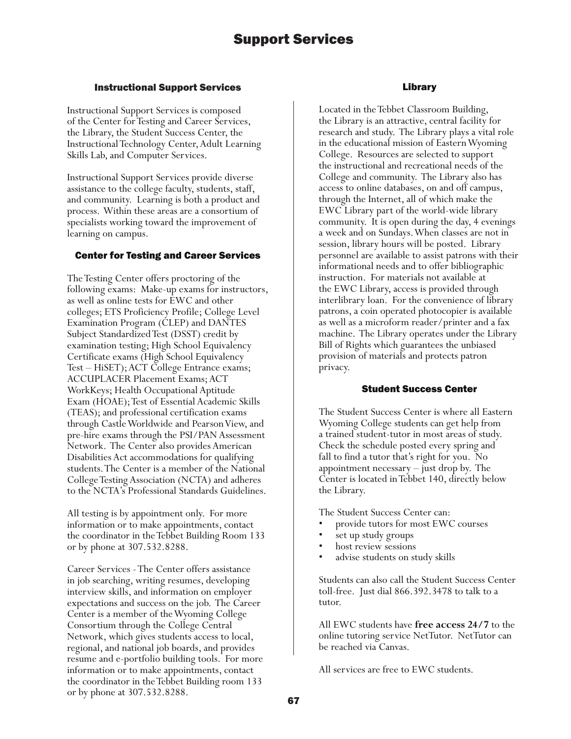# Instructional Support Services

Instructional Support Services is composed of the Center for Testing and Career Services, the Library, the Student Success Center, the Instructional Technology Center, Adult Learning Skills Lab, and Computer Services.

Instructional Support Services provide diverse assistance to the college faculty, students, staff, and community. Learning is both a product and process. Within these areas are a consortium of specialists working toward the improvement of learning on campus.

# Center for Testing and Career Services

The Testing Center offers proctoring of the following exams: Make-up exams for instructors, as well as online tests for EWC and other colleges; ETS Proficiency Profile; College Level Examination Program (CLEP) and DANTES Subject Standardized Test (DSST) credit by examination testing; High School Equivalency Certificate exams (High School Equivalency Test – HiSET); ACT College Entrance exams; ACCUPLACER Placement Exams; ACT WorkKeys; Health Occupational Aptitude Exam (HOAE); Test of Essential Academic Skills (TEAS); and professional certification exams through Castle Worldwide and Pearson View, and pre-hire exams through the PSI/PAN Assessment Network. The Center also provides American Disabilities Act accommodations for qualifying students. The Center is a member of the National College Testing Association (NCTA) and adheres to the NCTA's Professional Standards Guidelines.

All testing is by appointment only. For more information or to make appointments, contact the coordinator in the Tebbet Building Room 133 or by phone at 307.532.8288.

Career Services - The Center offers assistance in job searching, writing resumes, developing interview skills, and information on employer expectations and success on the job. The Career Center is a member of the Wyoming College Consortium through the College Central Network, which gives students access to local, regional, and national job boards, and provides resume and e-portfolio building tools. For more information or to make appointments, contact the coordinator in the Tebbet Building room 133 or by phone at 307.532.8288.

# Library

Located in the Tebbet Classroom Building, the Library is an attractive, central facility for research and study. The Library plays a vital role in the educational mission of Eastern Wyoming College. Resources are selected to support the instructional and recreational needs of the College and community. The Library also has access to online databases, on and off campus, through the Internet, all of which make the EWC Library part of the world-wide library community. It is open during the day, 4 evenings a week and on Sundays. When classes are not in session, library hours will be posted. Library personnel are available to assist patrons with their informational needs and to offer bibliographic instruction. For materials not available at the EWC Library, access is provided through interlibrary loan. For the convenience of library patrons, a coin operated photocopier is available as well as a microform reader/printer and a fax machine. The Library operates under the Library Bill of Rights which guarantees the unbiased provision of materials and protects patron privacy.

# Student Success Center

The Student Success Center is where all Eastern Wyoming College students can get help from a trained student-tutor in most areas of study. Check the schedule posted every spring and fall to find a tutor that's right for you. No appointment necessary – just drop by. The Center is located in Tebbet 140, directly below the Library.

The Student Success Center can:

- provide tutors for most EWC courses
- set up study groups
- host review sessions
- advise students on study skills

Students can also call the Student Success Center toll-free. Just dial 866.392.3478 to talk to a tutor.

All EWC students have **free access 24/7** to the online tutoring service NetTutor. NetTutor can be reached via Canvas.

All services are free to EWC students.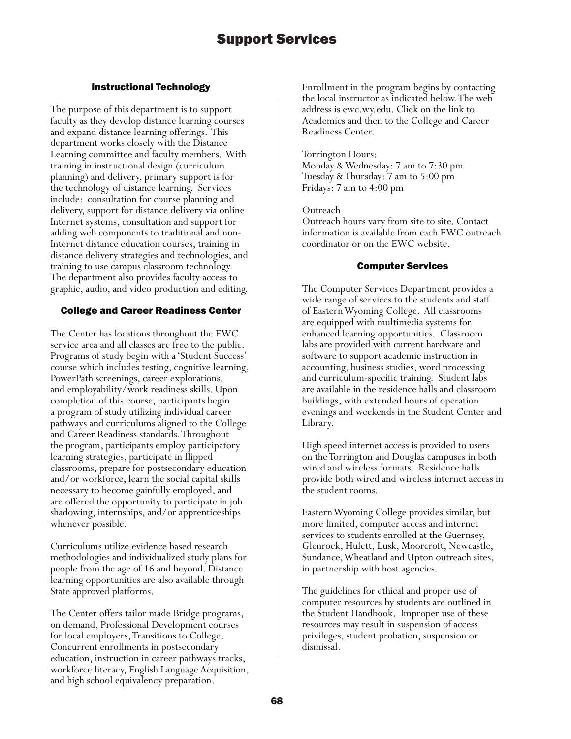# Support Services

### Instructional Technology

The purpose of this department is to support faculty as they develop distance learning courses and expand distance learning offerings. This department works closely with the Distance Learning committee and faculty members. With training in instructional design (curriculum planning) and delivery, primary support is for the technology of distance learning. Services include: consultation for course planning and delivery, support for distance delivery via online Internet systems, consultation and support for adding web components to traditional and non-Internet distance education courses, training in distance delivery strategies and technologies, and training to use campus classroom technology. The department also provides faculty access to graphic, audio, and video production and editing.

#### College and Career Readiness Center

The Center has locations throughout the EWC service area and all classes are free to the public. Programs of study begin with a 'Student Success' course which includes testing, cognitive learning, PowerPath screenings, career explorations, and employability/work readiness skills. Upon completion of this course, participants begin a program of study utilizing individual career pathways and curriculums aligned to the College and Career Readiness standards. Throughout the program, participants employ participatory learning strategies, participate in flipped classrooms, prepare for postsecondary education and/or workforce, learn the social capital skills necessary to become gainfully employed, and are offered the opportunity to participate in job shadowing, internships, and/or apprenticeships whenever possible.

Curriculums utilize evidence based research methodologies and individualized study plans for people from the age of 16 and beyond. Distance learning opportunities are also available through State approved platforms.

The Center offers tailor made Bridge programs, on demand, Professional Development courses for local employers, Transitions to College, Concurrent enrollments in postsecondary education, instruction in career pathways tracks, workforce literacy, English Language Acquisition, and high school equivalency preparation.

Enrollment in the program begins by contacting the local instructor as indicated below. The web address is ewc.wy.edu. Click on the link to Academics and then to the College and Career Readiness Center.

#### Torrington Hours:

Monday & Wednesday: 7 am to 7:30 pm Tuesday & Thursday: 7 am to 5:00 pm Fridays: 7 am to 4:00 pm

Outreach

Outreach hours vary from site to site. Contact information is available from each EWC outreach coordinator or on the EWC website.

#### Computer Services

The Computer Services Department provides a wide range of services to the students and staff of Eastern Wyoming College. All classrooms are equipped with multimedia systems for enhanced learning opportunities. Classroom labs are provided with current hardware and software to support academic instruction in accounting, business studies, word processing and curriculum-specific training. Student labs are available in the residence halls and classroom buildings, with extended hours of operation evenings and weekends in the Student Center and Library.

High speed internet access is provided to users on the Torrington and Douglas campuses in both wired and wireless formats. Residence halls provide both wired and wireless internet access in the student rooms.

Eastern Wyoming College provides similar, but more limited, computer access and internet services to students enrolled at the Guernsey, Glenrock, Hulett, Lusk, Moorcroft, Newcastle, Sundance, Wheatland and Upton outreach sites, in partnership with host agencies.

The guidelines for ethical and proper use of computer resources by students are outlined in the Student Handbook. Improper use of these resources may result in suspension of access privileges, student probation, suspension or dismissal.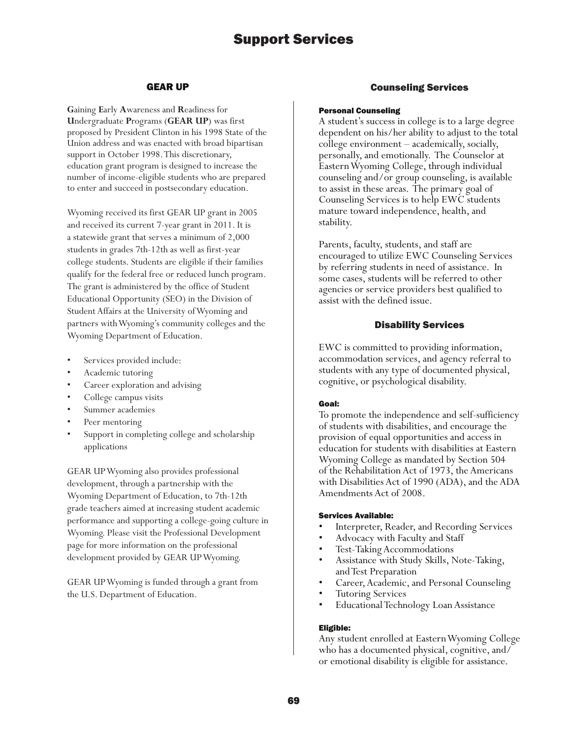# Support Services

#### GEAR UP

**G**aining **E**arly **A**wareness and **R**eadiness for **U**ndergraduate **P**rograms (**GEAR UP**) was first proposed by President Clinton in his 1998 State of the Union address and was enacted with broad bipartisan support in October 1998. This discretionary, education grant program is designed to increase the number of income-eligible students who are prepared to enter and succeed in postsecondary education.

Wyoming received its first GEAR UP grant in 2005 and received its current 7-year grant in 2011. It is a statewide grant that serves a minimum of 2,000 students in grades 7th-12th as well as first-year college students. Students are eligible if their families qualify for the federal free or reduced lunch program. The grant is administered by the office of Student Educational Opportunity (SEO) in the Division of Student Affairs at the University of Wyoming and partners with Wyoming's community colleges and the Wyoming Department of Education.

- Services provided include:
- Academic tutoring
- Career exploration and advising
- College campus visits
- Summer academies
- Peer mentoring
- Support in completing college and scholarship applications

GEAR UP Wyoming also provides professional development, through a partnership with the Wyoming Department of Education, to 7th-12th grade teachers aimed at increasing student academic performance and supporting a college-going culture in Wyoming. Please visit the Professional Development page for more information on the professional development provided by GEAR UP Wyoming.

GEAR UP Wyoming is funded through a grant from the U.S. Department of Education.

#### Counseling Services

#### Personal Counseling

A student's success in college is to a large degree dependent on his/her ability to adjust to the total college environment – academically, socially, personally, and emotionally. The Counselor at Eastern Wyoming College, through individual counseling and/or group counseling, is available to assist in these areas. The primary goal of Counseling Services is to help EWC students mature toward independence, health, and stability.

Parents, faculty, students, and staff are encouraged to utilize EWC Counseling Services by referring students in need of assistance. In some cases, students will be referred to other agencies or service providers best qualified to assist with the defined issue.

#### Disability Services

EWC is committed to providing information, accommodation services, and agency referral to students with any type of documented physical, cognitive, or psychological disability.

#### Goal:

To promote the independence and self-sufficiency of students with disabilities, and encourage the provision of equal opportunities and access in education for students with disabilities at Eastern Wyoming College as mandated by Section 504 of the Rehabilitation Act of 1973, the Americans with Disabilities Act of 1990 (ADA), and the ADA Amendments Act of 2008.

#### Services Available:

- Interpreter, Reader, and Recording Services
- Advocacy with Faculty and Staff
- Test-Taking Accommodations
- Assistance with Study Skills, Note-Taking, and Test Preparation
- Career, Academic, and Personal Counseling
- Tutoring Services
- Educational Technology Loan Assistance

#### Eligible:

Any student enrolled at Eastern Wyoming College who has a documented physical, cognitive, and/ or emotional disability is eligible for assistance.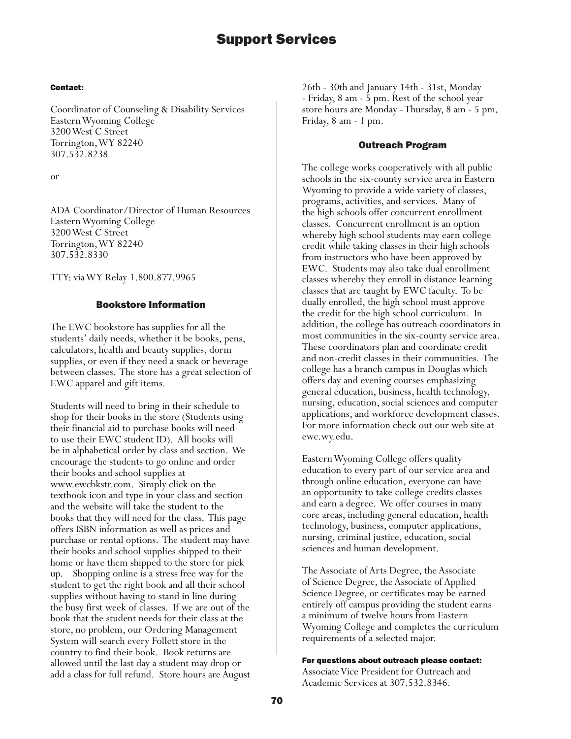#### Contact:

Coordinator of Counseling & Disability Services Eastern Wyoming College 3200 West C Street Torrington, WY 82240 307.532.8238

or

ADA Coordinator/Director of Human Resources Eastern Wyoming College 3200 West C Street Torrington, WY 82240 307.532.8330

TTY: via WY Relay 1.800.877.9965

# Bookstore Information

The EWC bookstore has supplies for all the students' daily needs, whether it be books, pens, calculators, health and beauty supplies, dorm supplies, or even if they need a snack or beverage between classes. The store has a great selection of EWC apparel and gift items.

Students will need to bring in their schedule to shop for their books in the store (Students using their financial aid to purchase books will need to use their EWC student ID). All books will be in alphabetical order by class and section. We encourage the students to go online and order their books and school supplies at www.ewcbkstr.com. Simply click on the textbook icon and type in your class and section and the website will take the student to the books that they will need for the class. This page offers ISBN information as well as prices and purchase or rental options. The student may have their books and school supplies shipped to their home or have them shipped to the store for pick up. Shopping online is a stress free way for the student to get the right book and all their school supplies without having to stand in line during the busy first week of classes. If we are out of the book that the student needs for their class at the store, no problem, our Ordering Management System will search every Follett store in the country to find their book. Book returns are allowed until the last day a student may drop or add a class for full refund. Store hours are August 26th - 30th and January 14th - 31st, Monday - Friday, 8 am - 5 pm. Rest of the school year store hours are Monday - Thursday, 8 am - 5 pm, Friday, 8 am - 1 pm.

#### Outreach Program

The college works cooperatively with all public schools in the six-county service area in Eastern Wyoming to provide a wide variety of classes, programs, activities, and services. Many of the high schools offer concurrent enrollment classes. Concurrent enrollment is an option whereby high school students may earn college credit while taking classes in their high schools from instructors who have been approved by EWC. Students may also take dual enrollment classes whereby they enroll in distance learning classes that are taught by EWC faculty. To be dually enrolled, the high school must approve the credit for the high school curriculum. In addition, the college has outreach coordinators in most communities in the six-county service area. These coordinators plan and coordinate credit and non-credit classes in their communities. The college has a branch campus in Douglas which offers day and evening courses emphasizing general education, business, health technology, nursing, education, social sciences and computer applications, and workforce development classes. For more information check out our web site at ewc.wy.edu.

Eastern Wyoming College offers quality education to every part of our service area and through online education, everyone can have an opportunity to take college credits classes and earn a degree. We offer courses in many core areas, including general education, health technology, business, computer applications, nursing, criminal justice, education, social sciences and human development.

The Associate of Arts Degree, the Associate of Science Degree, the Associate of Applied Science Degree, or certificates may be earned entirely off campus providing the student earns a minimum of twelve hours from Eastern Wyoming College and completes the curriculum requirements of a selected major.

#### For questions about outreach please contact:

Associate Vice President for Outreach and Academic Services at 307.532.8346.